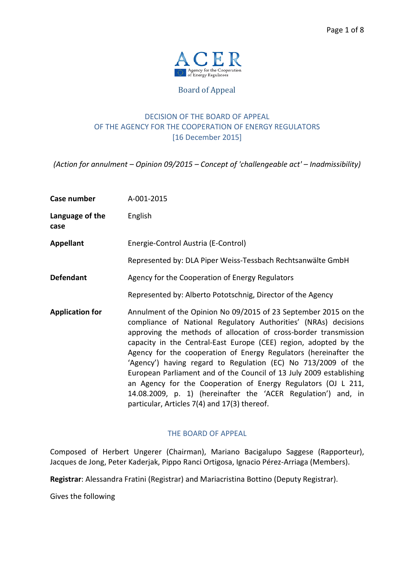

Board of Appeal

# DECISION OF THE BOARD OF APPEAL OF THE AGENCY FOR THE COOPERATION OF ENERGY REGULATORS [16 December 2015]

*(Action for annulment – Opinion 09/2015 – Concept of 'challengeable act' – Inadmissibility)* 

| Case number             | A-001-2015                                                                                                                                                                                                                                                                                                                                                                                                                                                                                                                                                                                                                                                               |
|-------------------------|--------------------------------------------------------------------------------------------------------------------------------------------------------------------------------------------------------------------------------------------------------------------------------------------------------------------------------------------------------------------------------------------------------------------------------------------------------------------------------------------------------------------------------------------------------------------------------------------------------------------------------------------------------------------------|
| Language of the<br>case | English                                                                                                                                                                                                                                                                                                                                                                                                                                                                                                                                                                                                                                                                  |
| <b>Appellant</b>        | Energie-Control Austria (E-Control)                                                                                                                                                                                                                                                                                                                                                                                                                                                                                                                                                                                                                                      |
|                         | Represented by: DLA Piper Weiss-Tessbach Rechtsanwälte GmbH                                                                                                                                                                                                                                                                                                                                                                                                                                                                                                                                                                                                              |
| <b>Defendant</b>        | Agency for the Cooperation of Energy Regulators                                                                                                                                                                                                                                                                                                                                                                                                                                                                                                                                                                                                                          |
|                         | Represented by: Alberto Pototschnig, Director of the Agency                                                                                                                                                                                                                                                                                                                                                                                                                                                                                                                                                                                                              |
| <b>Application for</b>  | Annulment of the Opinion No 09/2015 of 23 September 2015 on the<br>compliance of National Regulatory Authorities' (NRAs) decisions<br>approving the methods of allocation of cross-border transmission<br>capacity in the Central-East Europe (CEE) region, adopted by the<br>Agency for the cooperation of Energy Regulators (hereinafter the<br>'Agency') having regard to Regulation (EC) No 713/2009 of the<br>European Parliament and of the Council of 13 July 2009 establishing<br>an Agency for the Cooperation of Energy Regulators (OJ L 211,<br>14.08.2009, p. 1) (hereinafter the 'ACER Regulation') and, in<br>particular, Articles 7(4) and 17(3) thereof. |

## THE BOARD OF APPEAL

Composed of Herbert Ungerer (Chairman), Mariano Bacigalupo Saggese (Rapporteur), Jacques de Jong, Peter Kaderjak, Pippo Ranci Ortigosa, Ignacio Pérez-Arriaga (Members).

**Registrar**: Alessandra Fratini (Registrar) and Mariacristina Bottino (Deputy Registrar).

Gives the following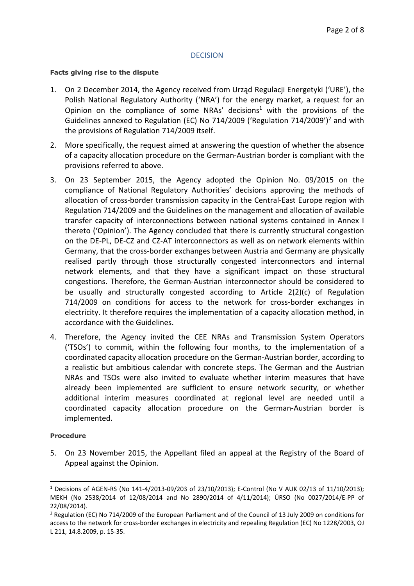## **DECISION**

#### **Facts giving rise to the dispute**

- 1. On 2 December 2014, the Agency received from Urząd Regulacji Energetyki ('URE'), the Polish National Regulatory Authority ('NRA') for the energy market, a request for an Opinion on the compliance of some NRAs' decisions<sup>1</sup> with the provisions of the Guidelines annexed to Regulation (EC) No 714/2009 ('Regulation 714/2009')<sup>2</sup> and with the provisions of Regulation 714/2009 itself.
- 2. More specifically, the request aimed at answering the question of whether the absence of a capacity allocation procedure on the German-Austrian border is compliant with the provisions referred to above.
- 3. On 23 September 2015, the Agency adopted the Opinion No. 09/2015 on the compliance of National Regulatory Authorities' decisions approving the methods of allocation of cross-border transmission capacity in the Central-East Europe region with Regulation 714/2009 and the Guidelines on the management and allocation of available transfer capacity of interconnections between national systems contained in Annex I thereto ('Opinion'). The Agency concluded that there is currently structural congestion on the DE-PL, DE-CZ and CZ-AT interconnectors as well as on network elements within Germany, that the cross-border exchanges between Austria and Germany are physically realised partly through those structurally congested interconnectors and internal network elements, and that they have a significant impact on those structural congestions. Therefore, the German-Austrian interconnector should be considered to be usually and structurally congested according to Article 2(2)(c) of Regulation 714/2009 on conditions for access to the network for cross-border exchanges in electricity. It therefore requires the implementation of a capacity allocation method, in accordance with the Guidelines.
- 4. Therefore, the Agency invited the CEE NRAs and Transmission System Operators ('TSOs') to commit, within the following four months, to the implementation of a coordinated capacity allocation procedure on the German-Austrian border, according to a realistic but ambitious calendar with concrete steps. The German and the Austrian NRAs and TSOs were also invited to evaluate whether interim measures that have already been implemented are sufficient to ensure network security, or whether additional interim measures coordinated at regional level are needed until a coordinated capacity allocation procedure on the German-Austrian border is implemented.

## **Procedure**

 $\overline{\phantom{a}}$ 

5. On 23 November 2015, the Appellant filed an appeal at the Registry of the Board of Appeal against the Opinion.

<sup>&</sup>lt;sup>1</sup> Decisions of AGEN-RS (No 141-4/2013-09/203 of 23/10/2013); E-Control (No V AUK 02/13 of 11/10/2013); MEKH (No 2538/2014 of 12/08/2014 and No 2890/2014 of 4/11/2014); ÚRSO (No 0027/2014/E-PP of 22/08/2014).

<sup>&</sup>lt;sup>2</sup> Regulation (EC) No 714/2009 of the European Parliament and of the Council of 13 July 2009 on conditions for access to the network for cross-border exchanges in electricity and repealing Regulation (EC) No 1228/2003, OJ L 211, 14.8.2009, p. 15-35.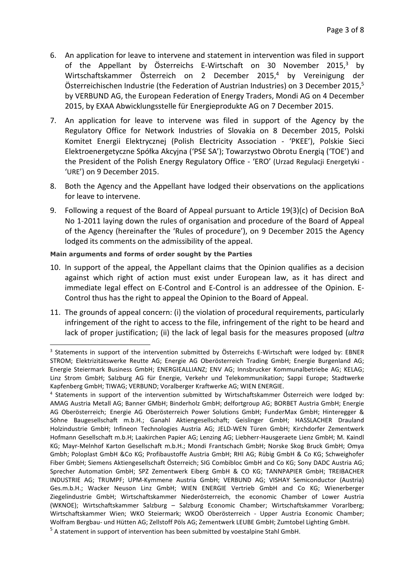- 6. An application for leave to intervene and statement in intervention was filed in support of the Appellant by Österreichs E-Wirtschaft on 30 November 2015,<sup>3</sup> by Wirtschaftskammer Österreich on 2 December 2015,<sup>4</sup> by Vereinigung der Österreichischen Industrie (the Federation of Austrian Industries) on 3 December 2015, $5$ by VERBUND AG, the European Federation of Energy Traders, Mondi AG on 4 December 2015, by EXAA Abwicklungsstelle für Energieprodukte AG on 7 December 2015.
- 7. An application for leave to intervene was filed in support of the Agency by the Regulatory Office for Network Industries of Slovakia on 8 December 2015, Polski Komitet Energii Elektrycznej (Polish Electricity Association - 'PKEE'), Polskie Sieci Elektroenergetyczne Spółka Akcyjna ('PSE SA'); Towarzystwo Obrotu Energią ('TOE') and the President of the Polish Energy Regulatory Office - 'ERO' (Urzad Regulacji Energetyki - 'URE') on 9 December 2015.
- 8. Both the Agency and the Appellant have lodged their observations on the applications for leave to intervene.
- 9. Following a request of the Board of Appeal pursuant to Article 19(3)(c) of Decision BoA No 1-2011 laying down the rules of organisation and procedure of the Board of Appeal of the Agency (hereinafter the 'Rules of procedure'), on 9 December 2015 the Agency lodged its comments on the admissibility of the appeal.

### **Main arguments and forms of order sought by the Parties**

l

- 10. In support of the appeal, the Appellant claims that the Opinion qualifies as a decision against which right of action must exist under European law, as it has direct and immediate legal effect on E-Control and E-Control is an addressee of the Opinion. E-Control thus has the right to appeal the Opinion to the Board of Appeal.
- 11. The grounds of appeal concern: (i) the violation of procedural requirements, particularly infringement of the right to access to the file, infringement of the right to be heard and lack of proper justification; (ii) the lack of legal basis for the measures proposed (*ultra*

<sup>&</sup>lt;sup>3</sup> Statements in support of the intervention submitted by Österreichs E-Wirtschaft were lodged by: EBNER STROM; Elektrizitätswerke Reutte AG; Energie AG Oberösterreich Trading GmbH; Energie Burgenland AG; Energie Steiermark Business GmbH; ENERGIEALLIANZ; ENV AG; Innsbrucker Kommunalbetriebe AG; KELAG; Linz Strom GmbH; Salzburg AG für Energie, Verkehr und Telekommunikation; Sappi Europe; Stadtwerke Kapfenberg GmbH; TIWAG; VERBUND; Voralberger Kraftwerke AG; WIEN ENERGIE.

<sup>4</sup> Statements in support of the intervention submitted by Wirtschaftskammer Österreich were lodged by: AMAG Austria Metall AG; Banner GMbH; Binderholz GmbH; delfortgroup AG; BORBET Austria GmbH; Energie AG Oberösterreich; Energie AG Oberösterreich Power Solutions GmbH; FunderMax GmbH; Hinteregger & Söhne Baugesellschaft m.b.H.; Ganahl Aktiengesellschaft; Geislinger GmbH; HASSLACHER Drauland Holzindustrie GmbH; Infineon Technologies Austria AG; JELD-WEN Türen GmbH; Kirchdorfer Zementwerk Hofmann Gesellschaft m.b.H; Laakirchen Papier AG; Lenzing AG; Liebherr-Hausgeraete Lienz GmbH; M. Kaindl KG; Mayr-Melnhof Karton Gesellschaft m.b.H.; Mondi Frantschach GmbH; Norske Skog Bruck GmbH; Omya Gmbh; Poloplast GmbH &Co KG; Profibaustoffe Austria GmbH; RHI AG; Rübig GmbH & Co KG; Schweighofer Fiber GmbH; Siemens Aktiengesellschaft Österreich; SIG Combibloc GmbH and Co KG; Sony DADC Austria AG; Sprecher Automation GmbH; SPZ Zementwerk Eiberg GmbH & CO KG; TANNPAPIER GmbH; TREIBACHER INDUSTRIE AG; TRUMPF; UPM-Kymmene Austria GmbH; VERBUND AG; VISHAY Semiconductor (Austria) Ges.m.b.H.; Wacker Neuson Linz GmbH; WIEN ENERGIE Vertrieb GmbH and Co KG; Wienerberger Ziegelindustrie GmbH; Wirtschaftskammer Niederösterreich, the economic Chamber of Lower Austria (WKNOE); Wirtschaftskammer Salzburg – Salzburg Economic Chamber; Wirtschaftskammer Vorarlberg; Wirtschaftskammer Wien; WKO Steiermark; WKOÖ Oberösterreich - Upper Austria Economic Chamber; Wolfram Bergbau- und Hütten AG; Zellstoff Pöls AG; Zementwerk LEUBE GmbH; Zumtobel Lighting GmbH.

<sup>&</sup>lt;sup>5</sup> A statement in support of intervention has been submitted by voestalpine Stahl GmbH.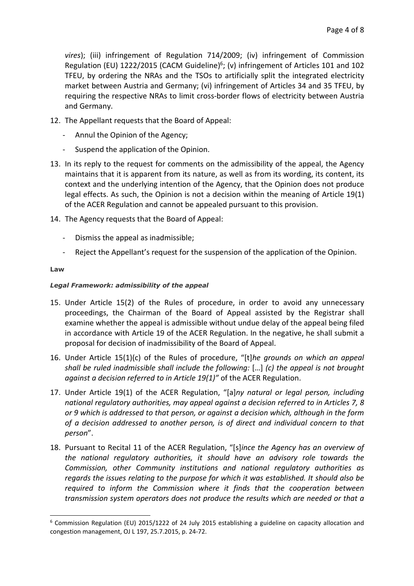*vires*); (iii) infringement of Regulation 714/2009; (iv) infringement of Commission Regulation (EU)  $1222/2015$  (CACM Guideline)<sup>6</sup>; (v) infringement of Articles 101 and 102 TFEU, by ordering the NRAs and the TSOs to artificially split the integrated electricity market between Austria and Germany; (vi) infringement of Articles 34 and 35 TFEU, by requiring the respective NRAs to limit cross-border flows of electricity between Austria and Germany.

- 12. The Appellant requests that the Board of Appeal:
	- Annul the Opinion of the Agency;
	- Suspend the application of the Opinion.
- 13. In its reply to the request for comments on the admissibility of the appeal, the Agency maintains that it is apparent from its nature, as well as from its wording, its content, its context and the underlying intention of the Agency, that the Opinion does not produce legal effects. As such, the Opinion is not a decision within the meaning of Article 19(1) of the ACER Regulation and cannot be appealed pursuant to this provision.
- 14. The Agency requests that the Board of Appeal:
	- Dismiss the appeal as inadmissible;
	- Reject the Appellant's request for the suspension of the application of the Opinion.

### **Law**

 $\overline{\phantom{a}}$ 

### *Legal Framework: admissibility of the appeal*

- 15. Under Article 15(2) of the Rules of procedure, in order to avoid any unnecessary proceedings, the Chairman of the Board of Appeal assisted by the Registrar shall examine whether the appeal is admissible without undue delay of the appeal being filed in accordance with Article 19 of the ACER Regulation. In the negative, he shall submit a proposal for decision of inadmissibility of the Board of Appeal.
- 16. Under Article 15(1)(c) of the Rules of procedure, "[t]*he grounds on which an appeal shall be ruled inadmissible shall include the following:* […] *(c) the appeal is not brought against a decision referred to in Article 19(1)"* of the ACER Regulation.
- 17. Under Article 19(1) of the ACER Regulation, "[a]*ny natural or legal person, including national regulatory authorities, may appeal against a decision referred to in Articles 7, 8 or 9 which is addressed to that person, or against a decision which, although in the form of a decision addressed to another person, is of direct and individual concern to that person*".
- 18. Pursuant to Recital 11 of the ACER Regulation, "[s]*ince the Agency has an overview of the national regulatory authorities, it should have an advisory role towards the Commission, other Community institutions and national regulatory authorities as regards the issues relating to the purpose for which it was established. It should also be required to inform the Commission where it finds that the cooperation between transmission system operators does not produce the results which are needed or that a*

<sup>&</sup>lt;sup>6</sup> Commission Regulation (EU) 2015/1222 of 24 July 2015 establishing a guideline on capacity allocation and congestion management, OJ L 197, 25.7.2015, p. 24-72.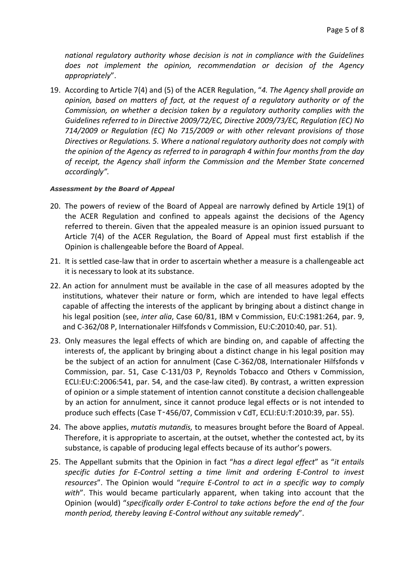*national regulatory authority whose decision is not in compliance with the Guidelines does not implement the opinion, recommendation or decision of the Agency appropriately*".

19. According to Article 7(4) and (5) of the ACER Regulation, "*4. The Agency shall provide an opinion, based on matters of fact, at the request of a regulatory authority or of the Commission, on whether a decision taken by a regulatory authority complies with the Guidelines referred to in Directive 2009/72/EC, Directive 2009/73/EC, Regulation (EC) No 714/2009 or Regulation (EC) No 715/2009 or with other relevant provisions of those Directives or Regulations. 5. Where a national regulatory authority does not comply with the opinion of the Agency as referred to in paragraph 4 within four months from the day of receipt, the Agency shall inform the Commission and the Member State concerned accordingly".*

### *Assessment by the Board of Appeal*

- 20. The powers of review of the Board of Appeal are narrowly defined by Article 19(1) of the ACER Regulation and confined to appeals against the decisions of the Agency referred to therein. Given that the appealed measure is an opinion issued pursuant to Article 7(4) of the ACER Regulation, the Board of Appeal must first establish if the Opinion is challengeable before the Board of Appeal.
- 21. It is settled case-law that in order to ascertain whether a measure is a challengeable act it is necessary to look at its substance.
- 22. An action for annulment must be available in the case of all measures adopted by the institutions, whatever their nature or form, which are intended to have legal effects capable of affecting the interests of the applicant by bringing about a distinct change in his legal position (see, *inter alia*, Case 60/81, IBM v Commission, EU:C:1981:264, par. 9, and C-362/08 P, Internationaler Hilfsfonds v Commission, EU:C:2010:40, par. 51).
- 23. Only measures the legal effects of which are binding on, and capable of affecting the interests of, the applicant by bringing about a distinct change in his legal position may be the subject of an action for annulment (Case C-362/08, Internationaler Hilfsfonds v Commission, par. 51, Case C-131/03 P, Reynolds Tobacco and Others v Commission, ECLI:EU:C:2006:541, par. 54, and the case-law cited). By contrast, a written expression of opinion or a simple statement of intention cannot constitute a decision challengeable by an action for annulment, since it cannot produce legal effects or is not intended to produce such effects (Case T‑456/07, Commission v CdT, ECLI:EU:T:2010:39, par. 55).
- 24. The above applies, *mutatis mutandis,* to measures brought before the Board of Appeal. Therefore, it is appropriate to ascertain, at the outset, whether the contested act, by its substance, is capable of producing legal effects because of its author's powers.
- 25. The Appellant submits that the Opinion in fact "*has a direct legal effect*" as "*it entails specific duties for E-Control setting a time limit and ordering E-Control to invest resources*". The Opinion would "*require E-Control to act in a specific way to comply with*". This would became particularly apparent, when taking into account that the Opinion (would) "*specifically order E-Control to take actions before the end of the four month period, thereby leaving E-Control without any suitable remedy*".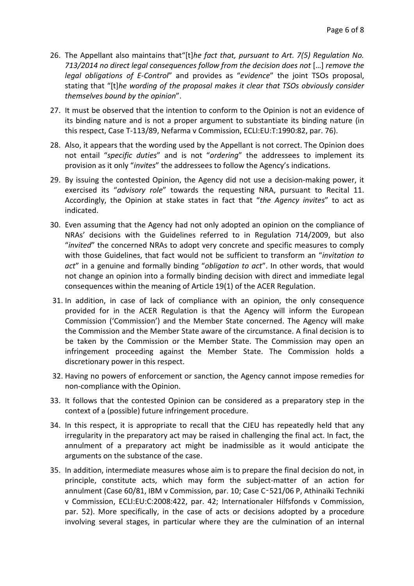- 26. The Appellant also maintains that"[t]*he fact that, pursuant to Art. 7(5) Regulation No. 713/2014 no direct legal consequences follow from the decision does not* […] *remove the legal obligations of E-Control*" and provides as "*evidence*" the joint TSOs proposal, stating that "[t]*he wording of the proposal makes it clear that TSOs obviously consider themselves bound by the opinion*".
- 27. It must be observed that the intention to conform to the Opinion is not an evidence of its binding nature and is not a proper argument to substantiate its binding nature (in this respect, Case T-113/89, Nefarma v Commission, ECLI:EU:T:1990:82, par. 76).
- 28. Also, it appears that the wording used by the Appellant is not correct. The Opinion does not entail "*specific duties*" and is not "*ordering*" the addressees to implement its provision as it only "*invites*" the addressees to follow the Agency's indications.
- 29. By issuing the contested Opinion, the Agency did not use a decision-making power, it exercised its "*advisory role*" towards the requesting NRA, pursuant to Recital 11. Accordingly, the Opinion at stake states in fact that "*the Agency invites*" to act as indicated.
- 30. Even assuming that the Agency had not only adopted an opinion on the compliance of NRAs' decisions with the Guidelines referred to in Regulation 714/2009, but also "*invited*" the concerned NRAs to adopt very concrete and specific measures to comply with those Guidelines, that fact would not be sufficient to transform an "*invitation to act*" in a genuine and formally binding "*obligation to act*". In other words, that would not change an opinion into a formally binding decision with direct and immediate legal consequences within the meaning of Article 19(1) of the ACER Regulation.
- 31. In addition, in case of lack of compliance with an opinion, the only consequence provided for in the ACER Regulation is that the Agency will inform the European Commission ('Commission') and the Member State concerned. The Agency will make the Commission and the Member State aware of the circumstance. A final decision is to be taken by the Commission or the Member State. The Commission may open an infringement proceeding against the Member State. The Commission holds a discretionary power in this respect.
- 32. Having no powers of enforcement or sanction, the Agency cannot impose remedies for non-compliance with the Opinion.
- 33. It follows that the contested Opinion can be considered as a preparatory step in the context of a (possible) future infringement procedure.
- 34. In this respect, it is appropriate to recall that the CJEU has repeatedly held that any irregularity in the preparatory act may be raised in challenging the final act. In fact, the annulment of a preparatory act might be inadmissible as it would anticipate the arguments on the substance of the case.
- 35. In addition, intermediate measures whose aim is to prepare the final decision do not, in principle, constitute acts, which may form the subject-matter of an action for annulment (Case 60/81, IBM v Commission, par. 10; Case C‑521/06 P, Athinaïki Techniki v Commission, ECLI:EU:C:2008:422, par. 42; Internationaler Hilfsfonds v Commission, par. 52). More specifically, in the case of acts or decisions adopted by a procedure involving several stages, in particular where they are the culmination of an internal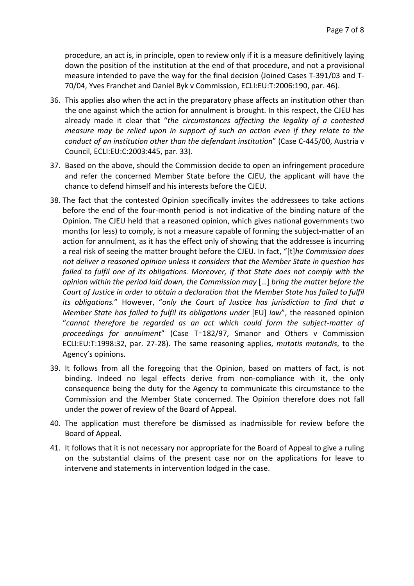procedure, an act is, in principle, open to review only if it is a measure definitively laying down the position of the institution at the end of that procedure, and not a provisional measure intended to pave the way for the final decision (Joined Cases T-391/03 and T-70/04, Yves Franchet and Daniel Byk v Commission, ECLI:EU:T:2006:190, par. 46).

- 36. This applies also when the act in the preparatory phase affects an institution other than the one against which the action for annulment is brought. In this respect, the CJEU has already made it clear that "*the circumstances affecting the legality of a contested measure may be relied upon in support of such an action even if they relate to the conduct of an institution other than the defendant institution*" (Case C-445/00, Austria v Council, ECLI:EU:C:2003:445, par. 33).
- 37. Based on the above, should the Commission decide to open an infringement procedure and refer the concerned Member State before the CJEU, the applicant will have the chance to defend himself and his interests before the CJEU.
- 38. The fact that the contested Opinion specifically invites the addressees to take actions before the end of the four-month period is not indicative of the binding nature of the Opinion. The CJEU held that a reasoned opinion, which gives national governments two months (or less) to comply, is not a measure capable of forming the subject-matter of an action for annulment, as it has the effect only of showing that the addressee is incurring a real risk of seeing the matter brought before the CJEU. In fact, "[t]*he Commission does not deliver a reasoned opinion unless it considers that the Member State in question has failed to fulfil one of its obligations. Moreover, if that State does not comply with the opinion within the period laid down, the Commission may* […] *bring the matter before the Court of Justice in order to obtain a declaration that the Member State has failed to fulfil its obligations.*" However, "*only the Court of Justice has jurisdiction to find that a Member State has failed to fulfil its obligations under* [EU] law", the reasoned opinion "*cannot therefore be regarded as an act which could form the subject-matter of proceedings for annulment*" (Case T‑182/97, Smanor and Others v Commission ECLI:EU:T:1998:32, par. 27-28). The same reasoning applies, *mutatis mutandis*, to the Agency's opinions.
- 39. It follows from all the foregoing that the Opinion, based on matters of fact, is not binding. Indeed no legal effects derive from non-compliance with it, the only consequence being the duty for the Agency to communicate this circumstance to the Commission and the Member State concerned. The Opinion therefore does not fall under the power of review of the Board of Appeal.
- 40. The application must therefore be dismissed as inadmissible for review before the Board of Appeal.
- 41. It follows that it is not necessary nor appropriate for the Board of Appeal to give a ruling on the substantial claims of the present case nor on the applications for leave to intervene and statements in intervention lodged in the case.